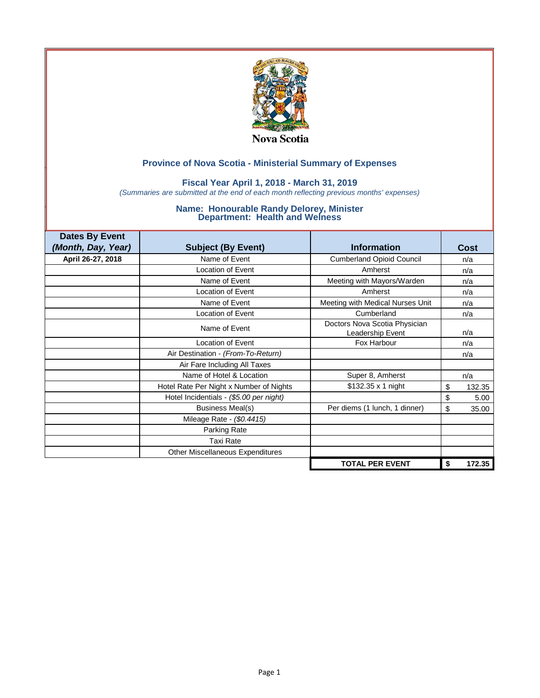

### **Fiscal Year April 1, 2018 - March 31, 2019**

*(Summaries are submitted at the end of each month reflecting previous months' expenses)*

| <b>Dates By Event</b> |                                         |                                                   |              |
|-----------------------|-----------------------------------------|---------------------------------------------------|--------------|
| (Month, Day, Year)    | <b>Subject (By Event)</b>               | <b>Information</b>                                | Cost         |
| April 26-27, 2018     | Name of Event                           | <b>Cumberland Opioid Council</b>                  | n/a          |
|                       | <b>Location of Event</b>                | Amherst                                           | n/a          |
|                       | Name of Event                           | Meeting with Mayors/Warden                        | n/a          |
|                       | <b>Location of Event</b>                | Amherst                                           | n/a          |
|                       | Name of Event                           | Meeting with Medical Nurses Unit                  | n/a          |
|                       | <b>Location of Event</b>                | Cumberland                                        | n/a          |
|                       | Name of Event                           | Doctors Nova Scotia Physician<br>Leadership Event | n/a          |
|                       | <b>Location of Event</b>                | Fox Harbour                                       | n/a          |
|                       | Air Destination - (From-To-Return)      |                                                   | n/a          |
|                       | Air Fare Including All Taxes            |                                                   |              |
|                       | Name of Hotel & Location                | Super 8, Amherst                                  | n/a          |
|                       | Hotel Rate Per Night x Number of Nights | $$132.35 \times 1$ night                          | \$<br>132.35 |
|                       | Hotel Incidentials - (\$5.00 per night) |                                                   | \$<br>5.00   |
|                       | <b>Business Meal(s)</b>                 | Per diems (1 lunch, 1 dinner)                     | \$<br>35.00  |
|                       | Mileage Rate - (\$0.4415)               |                                                   |              |
|                       | Parking Rate                            |                                                   |              |
|                       | <b>Taxi Rate</b>                        |                                                   |              |
|                       | <b>Other Miscellaneous Expenditures</b> |                                                   |              |
|                       |                                         | <b>TOTAL PER EVENT</b>                            | 172.35<br>\$ |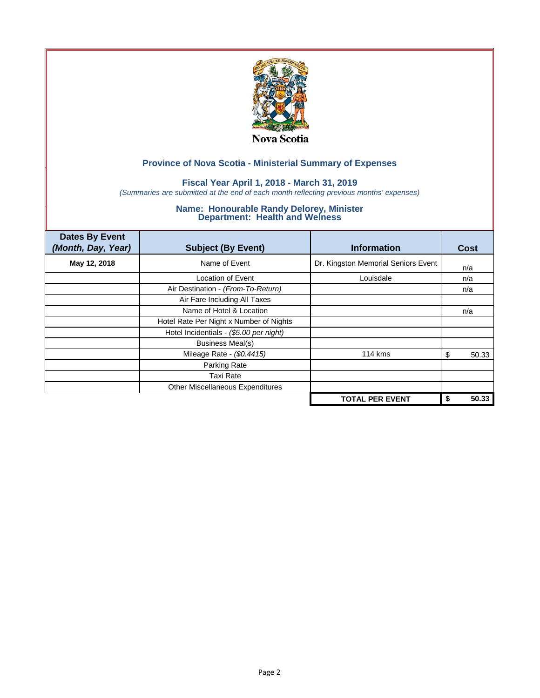

## **Fiscal Year April 1, 2018 - March 31, 2019**

*(Summaries are submitted at the end of each month reflecting previous months' expenses)*

| <b>Dates By Event</b><br>(Month, Day, Year) | <b>Subject (By Event)</b>               | <b>Information</b>                  | <b>Cost</b> |
|---------------------------------------------|-----------------------------------------|-------------------------------------|-------------|
| May 12, 2018                                | Name of Event                           | Dr. Kingston Memorial Seniors Event | n/a         |
|                                             | Location of Event                       | Louisdale                           | n/a         |
|                                             | Air Destination - (From-To-Return)      |                                     | n/a         |
|                                             | Air Fare Including All Taxes            |                                     |             |
|                                             | Name of Hotel & Location                |                                     | n/a         |
|                                             | Hotel Rate Per Night x Number of Nights |                                     |             |
|                                             | Hotel Incidentials - (\$5.00 per night) |                                     |             |
|                                             | <b>Business Meal(s)</b>                 |                                     |             |
|                                             | Mileage Rate - (\$0.4415)               | <b>114 kms</b>                      | 50.33<br>S  |
|                                             | Parking Rate                            |                                     |             |
|                                             | <b>Taxi Rate</b>                        |                                     |             |
|                                             | Other Miscellaneous Expenditures        |                                     |             |
|                                             |                                         | <b>TOTAL PER EVENT</b>              | 50.33<br>\$ |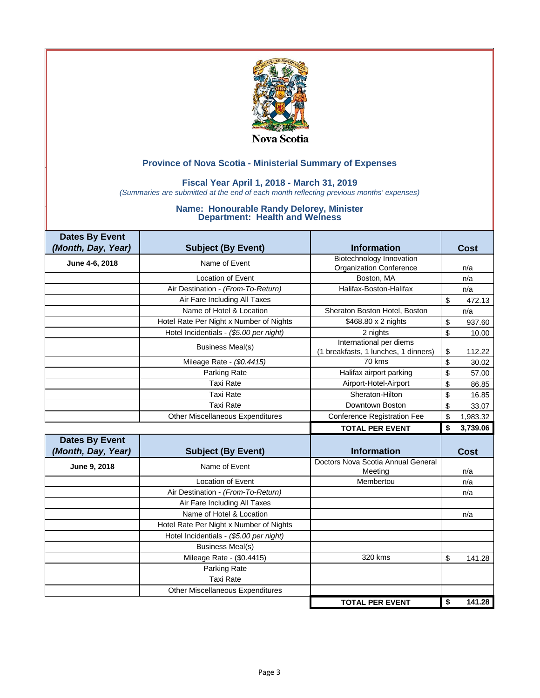

## **Fiscal Year April 1, 2018 - March 31, 2019**

*(Summaries are submitted at the end of each month reflecting previous months' expenses)*

| <b>Dates By Event</b> |                                         |                                                                 |                |
|-----------------------|-----------------------------------------|-----------------------------------------------------------------|----------------|
| (Month, Day, Year)    | <b>Subject (By Event)</b>               | <b>Information</b>                                              | <b>Cost</b>    |
| June 4-6, 2018        | Name of Event                           | Biotechnology Innovation                                        |                |
|                       |                                         | <b>Organization Conference</b>                                  | n/a            |
|                       | <b>Location of Event</b>                | Boston, MA                                                      | n/a            |
|                       | Air Destination - (From-To-Return)      | Halifax-Boston-Halifax                                          | n/a            |
|                       | Air Fare Including All Taxes            |                                                                 | \$<br>472.13   |
|                       | Name of Hotel & Location                | Sheraton Boston Hotel, Boston                                   | n/a            |
|                       | Hotel Rate Per Night x Number of Nights | \$468.80 x 2 nights                                             | \$<br>937.60   |
|                       | Hotel Incidentials - (\$5.00 per night) | 2 nights                                                        | \$<br>10.00    |
|                       | <b>Business Meal(s)</b>                 | International per diems<br>(1 breakfasts, 1 lunches, 1 dinners) | \$<br>112.22   |
|                       | Mileage Rate - (\$0.4415)               | 70 kms                                                          | \$<br>30.02    |
|                       | Parking Rate                            | Halifax airport parking                                         | \$<br>57.00    |
|                       | <b>Taxi Rate</b>                        | Airport-Hotel-Airport                                           | \$<br>86.85    |
|                       | <b>Taxi Rate</b>                        | Sheraton-Hilton                                                 | \$<br>16.85    |
|                       | <b>Taxi Rate</b>                        | Downtown Boston                                                 | \$<br>33.07    |
|                       | <b>Other Miscellaneous Expenditures</b> | <b>Conference Registration Fee</b>                              | \$<br>1,983.32 |
|                       |                                         |                                                                 |                |
|                       |                                         | <b>TOTAL PER EVENT</b>                                          | \$<br>3,739.06 |
| <b>Dates By Event</b> |                                         |                                                                 |                |
| (Month, Day, Year)    | <b>Subject (By Event)</b>               | <b>Information</b>                                              | <b>Cost</b>    |
| June 9, 2018          | Name of Event                           | Doctors Nova Scotia Annual General<br>Meeting                   | n/a            |
|                       | Location of Event                       | Membertou                                                       | n/a            |
|                       | Air Destination - (From-To-Return)      |                                                                 | n/a            |
|                       | Air Fare Including All Taxes            |                                                                 |                |
|                       | Name of Hotel & Location                |                                                                 | n/a            |
|                       | Hotel Rate Per Night x Number of Nights |                                                                 |                |
|                       | Hotel Incidentials - (\$5.00 per night) |                                                                 |                |
|                       | <b>Business Meal(s)</b>                 |                                                                 |                |
|                       | Mileage Rate - (\$0.4415)               | 320 kms                                                         | \$<br>141.28   |
|                       | Parking Rate                            |                                                                 |                |
|                       | <b>Taxi Rate</b>                        |                                                                 |                |
|                       | <b>Other Miscellaneous Expenditures</b> |                                                                 |                |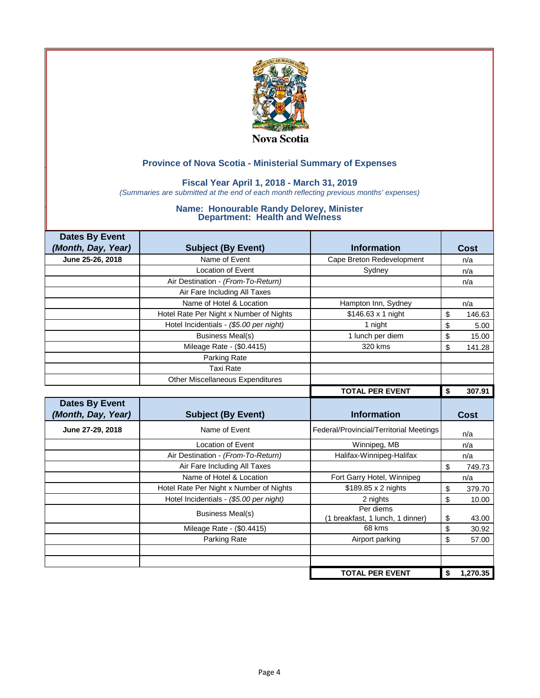

## **Fiscal Year April 1, 2018 - March 31, 2019**

*(Summaries are submitted at the end of each month reflecting previous months' expenses)*

| <b>Dates By Event</b> |                                         |                                               |              |
|-----------------------|-----------------------------------------|-----------------------------------------------|--------------|
| (Month, Day, Year)    | <b>Subject (By Event)</b>               | <b>Information</b>                            | Cost         |
| June 25-26, 2018      | Name of Event                           | Cape Breton Redevelopment                     | n/a          |
|                       | Location of Event                       | Sydney                                        | n/a          |
|                       | Air Destination - (From-To-Return)      |                                               | n/a          |
|                       | Air Fare Including All Taxes            |                                               |              |
|                       | Name of Hotel & Location                | Hampton Inn, Sydney                           | n/a          |
|                       | Hotel Rate Per Night x Number of Nights | \$146.63 x 1 night                            | \$<br>146.63 |
|                       | Hotel Incidentials - (\$5.00 per night) | 1 night                                       | \$<br>5.00   |
|                       | <b>Business Meal(s)</b>                 | 1 lunch per diem                              | \$<br>15.00  |
|                       | Mileage Rate - (\$0.4415)               | 320 kms                                       | \$<br>141.28 |
|                       | Parking Rate                            |                                               |              |
|                       | <b>Taxi Rate</b>                        |                                               |              |
|                       | <b>Other Miscellaneous Expenditures</b> |                                               |              |
|                       |                                         | <b>TOTAL PER EVENT</b>                        | \$<br>307.91 |
|                       |                                         |                                               |              |
| <b>Dates By Event</b> |                                         |                                               |              |
| (Month, Day, Year)    | <b>Subject (By Event)</b>               | <b>Information</b>                            | <b>Cost</b>  |
| June 27-29, 2018      | Name of Event                           | Federal/Provincial/Territorial Meetings       | n/a          |
|                       | Location of Event                       | Winnipeg, MB                                  | n/a          |
|                       | Air Destination - (From-To-Return)      | Halifax-Winnipeg-Halifax                      | n/a          |
|                       | Air Fare Including All Taxes            |                                               | \$<br>749.73 |
|                       | Name of Hotel & Location                | Fort Garry Hotel, Winnipeg                    | n/a          |
|                       | Hotel Rate Per Night x Number of Nights | \$189.85 x 2 nights                           | \$<br>379.70 |
|                       | Hotel Incidentials - (\$5.00 per night) | 2 nights                                      | \$<br>10.00  |
|                       | <b>Business Meal(s)</b>                 | Per diems<br>(1 breakfast, 1 lunch, 1 dinner) | \$<br>43.00  |
|                       | Mileage Rate - (\$0.4415)               | 68 kms                                        | \$<br>30.92  |
|                       | Parking Rate                            | Airport parking                               | \$<br>57.00  |
|                       |                                         |                                               |              |
|                       |                                         |                                               |              |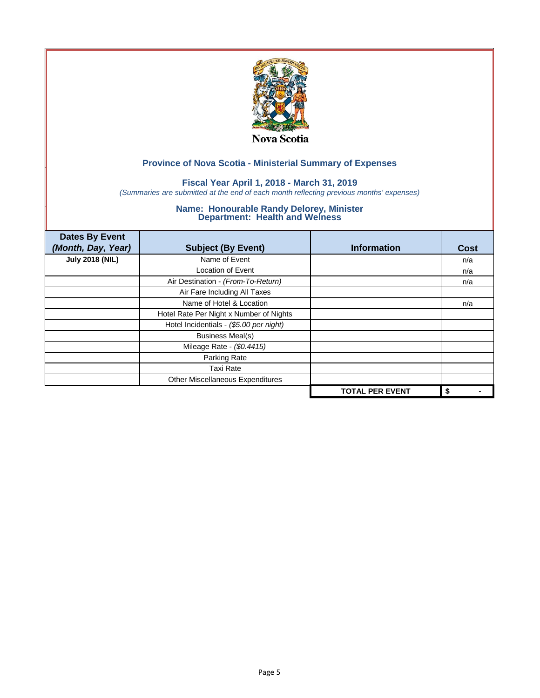

## **Fiscal Year April 1, 2018 - March 31, 2019**

*(Summaries are submitted at the end of each month reflecting previous months' expenses)*

| <b>Dates By Event</b><br>(Month, Day, Year) | <b>Subject (By Event)</b>               | <b>Information</b>     | <b>Cost</b> |
|---------------------------------------------|-----------------------------------------|------------------------|-------------|
| <b>July 2018 (NIL)</b>                      | Name of Event                           |                        | n/a         |
|                                             | Location of Event                       |                        | n/a         |
|                                             | Air Destination - (From-To-Return)      |                        | n/a         |
|                                             | Air Fare Including All Taxes            |                        |             |
|                                             | Name of Hotel & Location                |                        | n/a         |
|                                             | Hotel Rate Per Night x Number of Nights |                        |             |
|                                             | Hotel Incidentials - (\$5.00 per night) |                        |             |
|                                             | <b>Business Meal(s)</b>                 |                        |             |
|                                             | Mileage Rate - (\$0.4415)               |                        |             |
|                                             | Parking Rate                            |                        |             |
|                                             | <b>Taxi Rate</b>                        |                        |             |
|                                             | Other Miscellaneous Expenditures        |                        |             |
|                                             |                                         | <b>TOTAL PER EVENT</b> | \$          |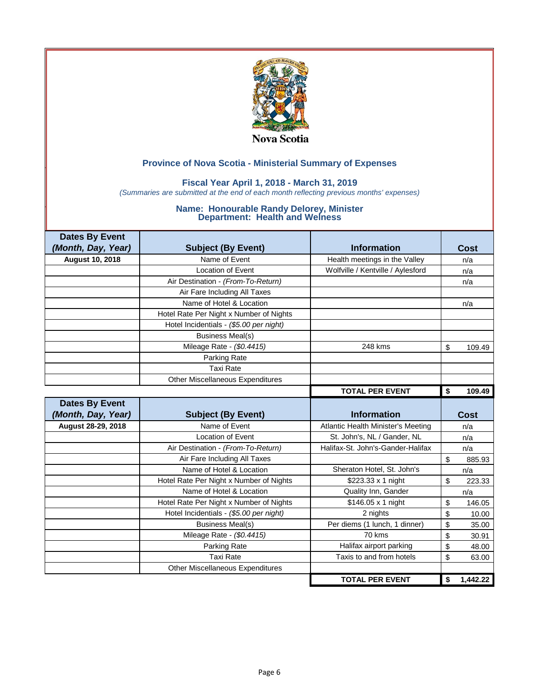

### **Fiscal Year April 1, 2018 - March 31, 2019**

*(Summaries are submitted at the end of each month reflecting previous months' expenses)*

| <b>Dates By Event</b>  |                                         |                                    |              |
|------------------------|-----------------------------------------|------------------------------------|--------------|
| (Month, Day, Year)     | <b>Subject (By Event)</b>               | <b>Information</b>                 | Cost         |
| <b>August 10, 2018</b> | Name of Event                           | Health meetings in the Valley      | n/a          |
|                        | <b>Location of Event</b>                | Wolfville / Kentville / Aylesford  | n/a          |
|                        | Air Destination - (From-To-Return)      |                                    | n/a          |
|                        | Air Fare Including All Taxes            |                                    |              |
|                        | Name of Hotel & Location                |                                    | n/a          |
|                        | Hotel Rate Per Night x Number of Nights |                                    |              |
|                        | Hotel Incidentials - (\$5.00 per night) |                                    |              |
|                        | <b>Business Meal(s)</b>                 |                                    |              |
|                        | Mileage Rate - (\$0.4415)               | 248 kms                            | \$<br>109.49 |
|                        | Parking Rate                            |                                    |              |
|                        | <b>Taxi Rate</b>                        |                                    |              |
|                        | <b>Other Miscellaneous Expenditures</b> |                                    |              |
|                        |                                         | <b>TOTAL PER EVENT</b>             | \$<br>109.49 |
| <b>Dates By Event</b>  |                                         |                                    |              |
|                        |                                         |                                    |              |
| (Month, Day, Year)     | <b>Subject (By Event)</b>               | <b>Information</b>                 | Cost         |
| August 28-29, 2018     | Name of Event                           | Atlantic Health Minister's Meeting | n/a          |
|                        | Location of Event                       | St. John's, NL / Gander, NL        | n/a          |
|                        | Air Destination - (From-To-Return)      | Halifax-St. John's-Gander-Halifax  | n/a          |
|                        | Air Fare Including All Taxes            |                                    | \$<br>885.93 |
|                        | Name of Hotel & Location                | Sheraton Hotel, St. John's         | n/a          |
|                        | Hotel Rate Per Night x Number of Nights | \$223.33 x 1 night                 | \$<br>223.33 |
|                        | Name of Hotel & Location                | Quality Inn, Gander                | n/a          |
|                        | Hotel Rate Per Night x Number of Nights | \$146.05 x 1 night                 | \$<br>146.05 |
|                        | Hotel Incidentials - (\$5.00 per night) | 2 nights                           | \$<br>10.00  |
|                        | <b>Business Meal(s)</b>                 | Per diems (1 lunch, 1 dinner)      | \$<br>35.00  |
|                        | Mileage Rate - (\$0.4415)               | 70 kms                             | \$<br>30.91  |
|                        | Parking Rate                            | Halifax airport parking            | \$<br>48.00  |
|                        | <b>Taxi Rate</b>                        | Taxis to and from hotels           | \$<br>63.00  |
|                        | Other Miscellaneous Expenditures        |                                    |              |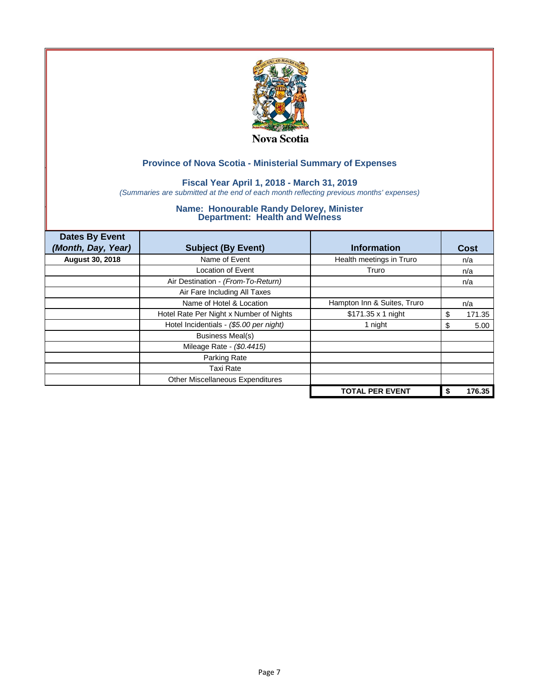

## **Fiscal Year April 1, 2018 - March 31, 2019**

*(Summaries are submitted at the end of each month reflecting previous months' expenses)*

| <b>Dates By Event</b><br>(Month, Day, Year) | <b>Subject (By Event)</b>               | <b>Information</b>          | Cost         |
|---------------------------------------------|-----------------------------------------|-----------------------------|--------------|
| <b>August 30, 2018</b>                      | Name of Event                           | Health meetings in Truro    | n/a          |
|                                             | <b>Location of Event</b>                | Truro                       | n/a          |
|                                             | Air Destination - (From-To-Return)      |                             | n/a          |
|                                             | Air Fare Including All Taxes            |                             |              |
|                                             | Name of Hotel & Location                | Hampton Inn & Suites, Truro | n/a          |
|                                             | Hotel Rate Per Night x Number of Nights | \$171.35 x 1 night          | 171.35<br>\$ |
|                                             | Hotel Incidentials - (\$5.00 per night) | 1 night                     | 5.00<br>\$   |
|                                             | <b>Business Meal(s)</b>                 |                             |              |
|                                             | Mileage Rate - (\$0.4415)               |                             |              |
|                                             | Parking Rate                            |                             |              |
|                                             | <b>Taxi Rate</b>                        |                             |              |
|                                             | Other Miscellaneous Expenditures        |                             |              |
|                                             |                                         | <b>TOTAL PER EVENT</b>      | 176.35       |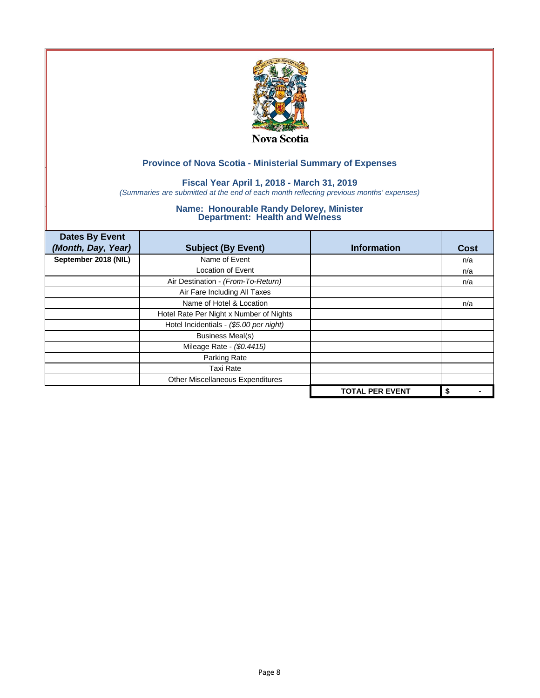

## **Fiscal Year April 1, 2018 - March 31, 2019**

*(Summaries are submitted at the end of each month reflecting previous months' expenses)*

| <b>Dates By Event</b><br>(Month, Day, Year) | <b>Subject (By Event)</b>               | <b>Information</b>     | <b>Cost</b> |
|---------------------------------------------|-----------------------------------------|------------------------|-------------|
| September 2018 (NIL)                        | Name of Event                           |                        | n/a         |
|                                             | <b>Location of Event</b>                |                        | n/a         |
|                                             | Air Destination - (From-To-Return)      |                        | n/a         |
|                                             | Air Fare Including All Taxes            |                        |             |
|                                             | Name of Hotel & Location                |                        | n/a         |
|                                             | Hotel Rate Per Night x Number of Nights |                        |             |
|                                             | Hotel Incidentials - (\$5.00 per night) |                        |             |
|                                             | <b>Business Meal(s)</b>                 |                        |             |
|                                             | Mileage Rate - (\$0.4415)               |                        |             |
|                                             | Parking Rate                            |                        |             |
|                                             | <b>Taxi Rate</b>                        |                        |             |
|                                             | Other Miscellaneous Expenditures        |                        |             |
|                                             |                                         | <b>TOTAL PER EVENT</b> | \$          |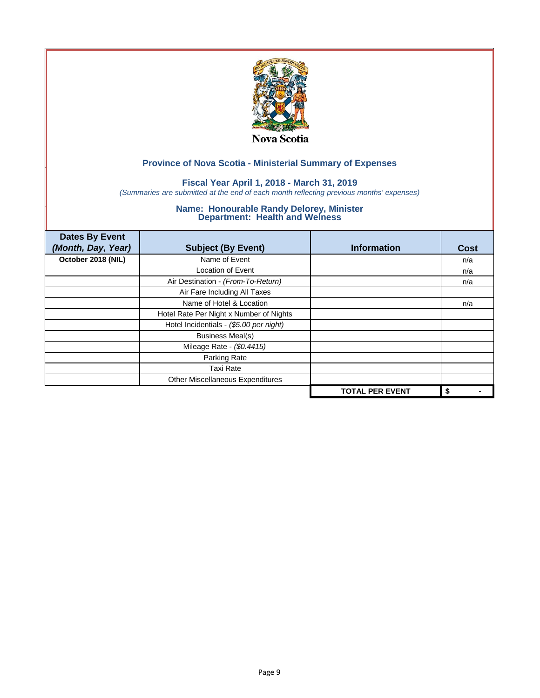

## **Fiscal Year April 1, 2018 - March 31, 2019**

*(Summaries are submitted at the end of each month reflecting previous months' expenses)*

| <b>Dates By Event</b><br>(Month, Day, Year) | <b>Subject (By Event)</b>               | <b>Information</b>     | <b>Cost</b> |
|---------------------------------------------|-----------------------------------------|------------------------|-------------|
| October 2018 (NIL)                          | Name of Event                           |                        | n/a         |
|                                             | Location of Event                       |                        | n/a         |
|                                             | Air Destination - (From-To-Return)      |                        | n/a         |
|                                             | Air Fare Including All Taxes            |                        |             |
|                                             | Name of Hotel & Location                |                        | n/a         |
|                                             | Hotel Rate Per Night x Number of Nights |                        |             |
|                                             | Hotel Incidentials - (\$5.00 per night) |                        |             |
|                                             | <b>Business Meal(s)</b>                 |                        |             |
|                                             | Mileage Rate - (\$0.4415)               |                        |             |
|                                             | Parking Rate                            |                        |             |
|                                             | <b>Taxi Rate</b>                        |                        |             |
|                                             | Other Miscellaneous Expenditures        |                        |             |
|                                             |                                         | <b>TOTAL PER EVENT</b> | \$          |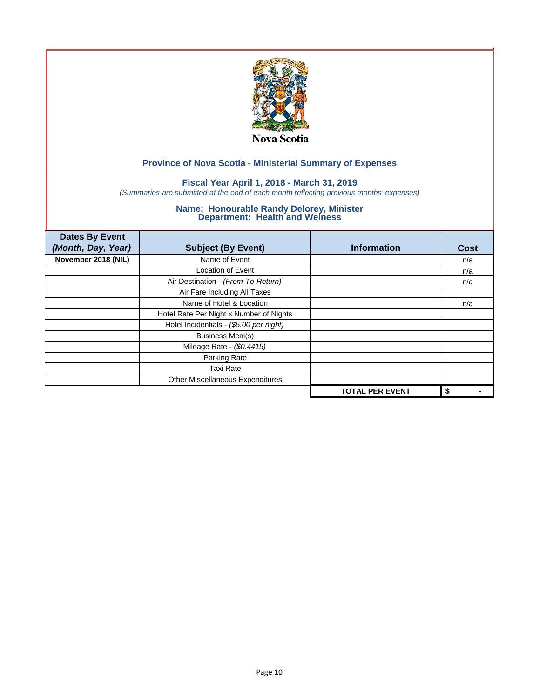

## **Fiscal Year April 1, 2018 - March 31, 2019**

*(Summaries are submitted at the end of each month reflecting previous months' expenses)*

| <b>Dates By Event</b><br>(Month, Day, Year) | <b>Subject (By Event)</b>               | <b>Information</b>     | <b>Cost</b> |
|---------------------------------------------|-----------------------------------------|------------------------|-------------|
| November 2018 (NIL)                         | Name of Event                           |                        | n/a         |
|                                             | <b>Location of Event</b>                |                        | n/a         |
|                                             | Air Destination - (From-To-Return)      |                        | n/a         |
|                                             | Air Fare Including All Taxes            |                        |             |
|                                             | Name of Hotel & Location                |                        | n/a         |
|                                             | Hotel Rate Per Night x Number of Nights |                        |             |
|                                             | Hotel Incidentials - (\$5.00 per night) |                        |             |
|                                             | <b>Business Meal(s)</b>                 |                        |             |
|                                             | Mileage Rate - (\$0.4415)               |                        |             |
|                                             | Parking Rate                            |                        |             |
|                                             | <b>Taxi Rate</b>                        |                        |             |
|                                             | Other Miscellaneous Expenditures        |                        |             |
|                                             |                                         | <b>TOTAL PER EVENT</b> | \$          |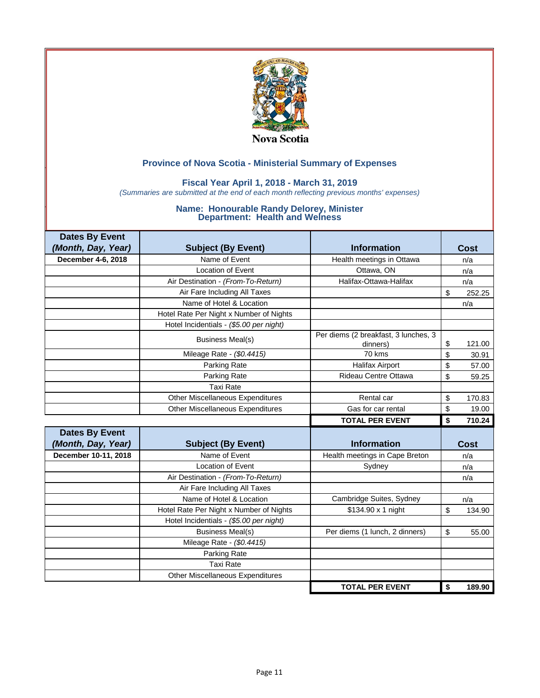

## **Fiscal Year April 1, 2018 - March 31, 2019**

*(Summaries are submitted at the end of each month reflecting previous months' expenses)*

| <b>Dates By Event</b> |                                         |                                                  |              |
|-----------------------|-----------------------------------------|--------------------------------------------------|--------------|
| (Month, Day, Year)    | <b>Subject (By Event)</b>               | <b>Information</b>                               | Cost         |
| December 4-6, 2018    | Name of Event                           | Health meetings in Ottawa                        | n/a          |
|                       | <b>Location of Event</b>                | Ottawa, ON                                       | n/a          |
|                       | Air Destination - (From-To-Return)      | Halifax-Ottawa-Halifax                           | n/a          |
|                       | Air Fare Including All Taxes            |                                                  | \$<br>252.25 |
|                       | Name of Hotel & Location                |                                                  | n/a          |
|                       | Hotel Rate Per Night x Number of Nights |                                                  |              |
|                       | Hotel Incidentials - (\$5.00 per night) |                                                  |              |
|                       | <b>Business Meal(s)</b>                 | Per diems (2 breakfast, 3 lunches, 3<br>dinners) | \$<br>121.00 |
|                       | Mileage Rate - (\$0.4415)               | 70 kms                                           | \$<br>30.91  |
|                       | Parking Rate                            | <b>Halifax Airport</b>                           | \$<br>57.00  |
|                       | Parking Rate                            | Rideau Centre Ottawa                             | \$<br>59.25  |
|                       | <b>Taxi Rate</b>                        |                                                  |              |
|                       | <b>Other Miscellaneous Expenditures</b> | Rental car                                       | \$<br>170.83 |
|                       | <b>Other Miscellaneous Expenditures</b> | Gas for car rental                               | \$<br>19.00  |
|                       |                                         |                                                  |              |
|                       |                                         | <b>TOTAL PER EVENT</b>                           | \$<br>710.24 |
| <b>Dates By Event</b> |                                         |                                                  |              |
| (Month, Day, Year)    | <b>Subject (By Event)</b>               | <b>Information</b>                               | <b>Cost</b>  |
| December 10-11, 2018  | Name of Event                           | Health meetings in Cape Breton                   | n/a          |
|                       | <b>Location of Event</b>                | Sydney                                           | n/a          |
|                       | Air Destination - (From-To-Return)      |                                                  | n/a          |
|                       | Air Fare Including All Taxes            |                                                  |              |
|                       | Name of Hotel & Location                | Cambridge Suites, Sydney                         | n/a          |
|                       | Hotel Rate Per Night x Number of Nights | \$134.90 x 1 night                               | \$<br>134.90 |
|                       | Hotel Incidentials - (\$5.00 per night) |                                                  |              |
|                       | <b>Business Meal(s)</b>                 | Per diems (1 lunch, 2 dinners)                   | \$<br>55.00  |
|                       | Mileage Rate - (\$0.4415)               |                                                  |              |
|                       | Parking Rate                            |                                                  |              |
|                       | <b>Taxi Rate</b>                        |                                                  |              |
|                       | Other Miscellaneous Expenditures        |                                                  |              |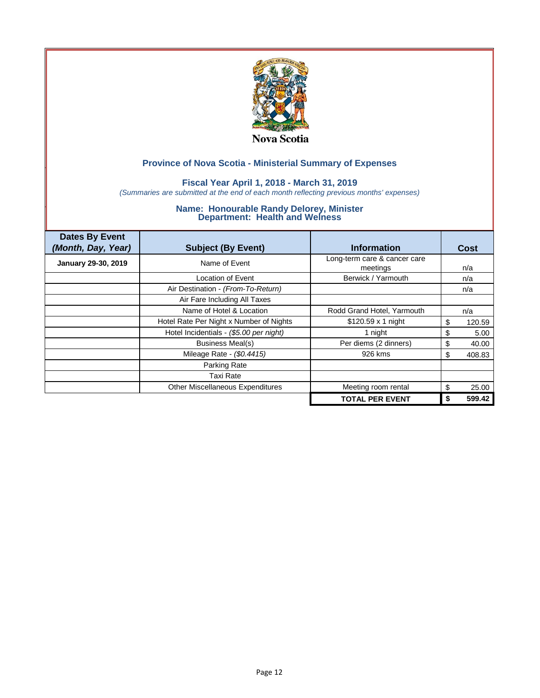

## **Fiscal Year April 1, 2018 - March 31, 2019**

*(Summaries are submitted at the end of each month reflecting previous months' expenses)*

| <b>Dates By Event</b><br>(Month, Day, Year) | <b>Subject (By Event)</b>               | <b>Information</b>                       | Cost        |
|---------------------------------------------|-----------------------------------------|------------------------------------------|-------------|
| January 29-30, 2019                         | Name of Event                           | Long-term care & cancer care<br>meetings | n/a         |
|                                             | Location of Event                       | Berwick / Yarmouth                       | n/a         |
|                                             | Air Destination - (From-To-Return)      |                                          | n/a         |
|                                             | Air Fare Including All Taxes            |                                          |             |
|                                             | Name of Hotel & Location                | Rodd Grand Hotel, Yarmouth               | n/a         |
|                                             | Hotel Rate Per Night x Number of Nights | $$120.59 \times 1$ night                 | 120.59<br>S |
|                                             | Hotel Incidentials - (\$5.00 per night) | 1 night                                  | \$<br>5.00  |
|                                             | <b>Business Meal(s)</b>                 | Per diems (2 dinners)                    | 40.00<br>S  |
|                                             | Mileage Rate - (\$0.4415)               | 926 kms                                  | 408.83<br>S |
|                                             | Parking Rate                            |                                          |             |
|                                             | <b>Taxi Rate</b>                        |                                          |             |
|                                             | Other Miscellaneous Expenditures        | Meeting room rental                      | 25.00<br>S  |
|                                             |                                         | <b>TOTAL PER EVENT</b>                   | 599.42      |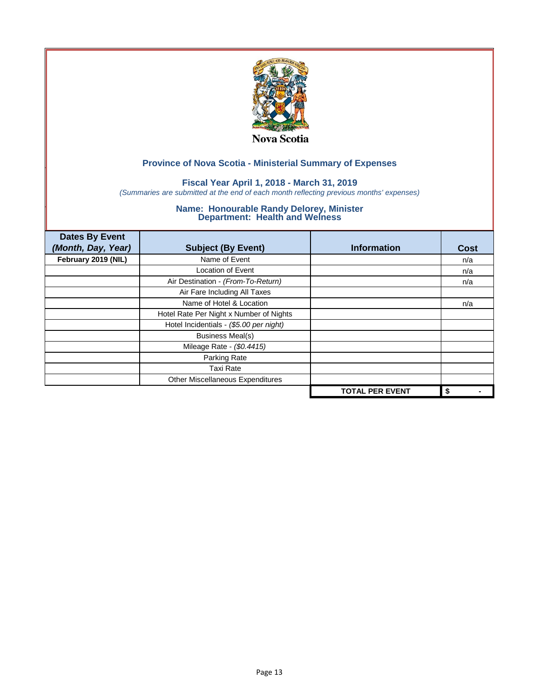

## **Fiscal Year April 1, 2018 - March 31, 2019**

*(Summaries are submitted at the end of each month reflecting previous months' expenses)*

| <b>Dates By Event</b><br>(Month, Day, Year) | <b>Subject (By Event)</b>               | <b>Information</b>     | <b>Cost</b> |
|---------------------------------------------|-----------------------------------------|------------------------|-------------|
| February 2019 (NIL)                         | Name of Event                           |                        | n/a         |
|                                             | Location of Event                       |                        | n/a         |
|                                             | Air Destination - (From-To-Return)      |                        | n/a         |
|                                             | Air Fare Including All Taxes            |                        |             |
|                                             | Name of Hotel & Location                |                        | n/a         |
|                                             | Hotel Rate Per Night x Number of Nights |                        |             |
|                                             | Hotel Incidentials - (\$5.00 per night) |                        |             |
|                                             | <b>Business Meal(s)</b>                 |                        |             |
|                                             | Mileage Rate - (\$0.4415)               |                        |             |
|                                             | Parking Rate                            |                        |             |
|                                             | <b>Taxi Rate</b>                        |                        |             |
|                                             | Other Miscellaneous Expenditures        |                        |             |
|                                             |                                         | <b>TOTAL PER EVENT</b> | \$          |